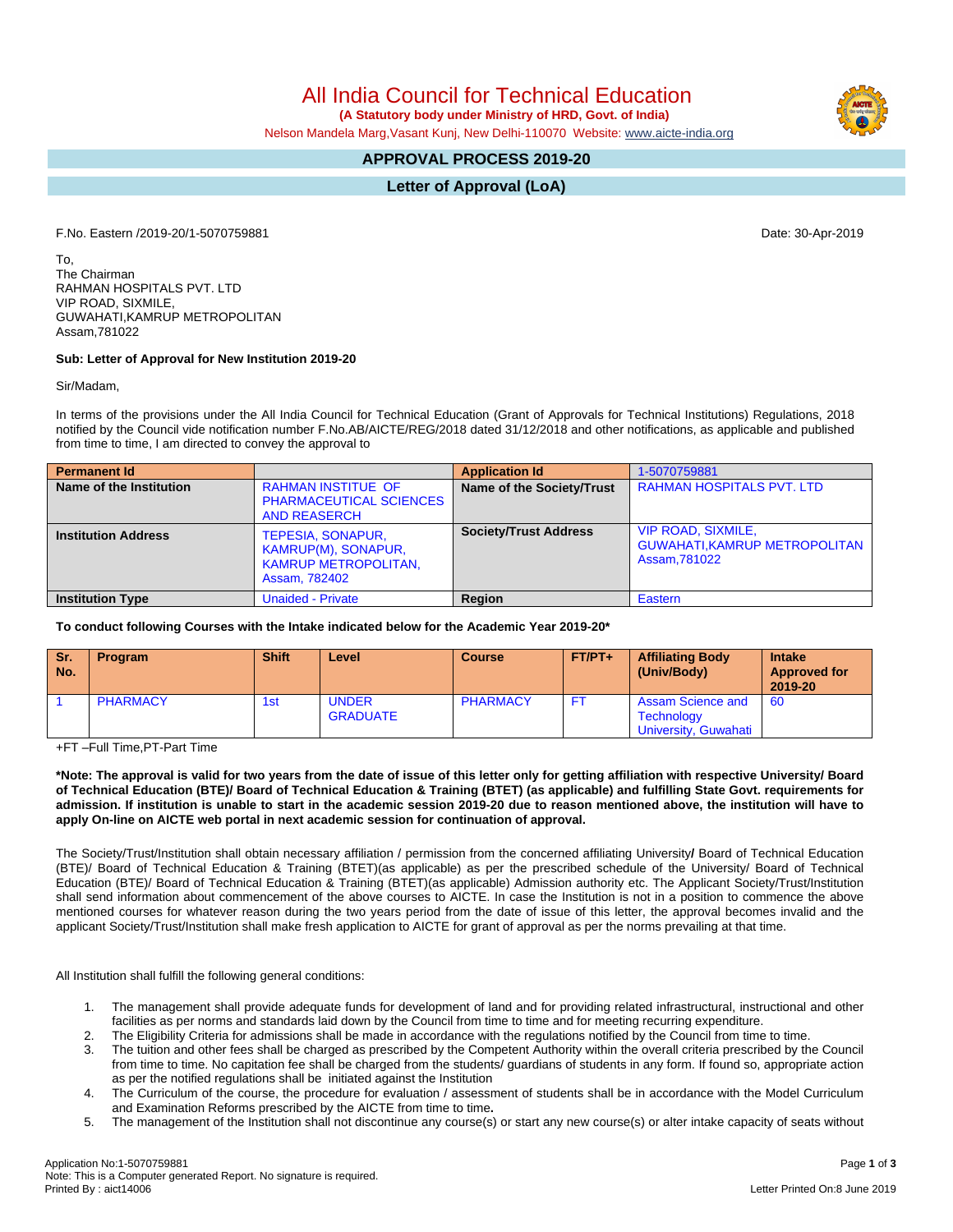All India Council for Technical Education

 **(A Statutory body under Ministry of HRD, Govt. of India)**

Nelson Mandela Marg,Vasant Kunj, New Delhi-110070 Website: [www.aicte-india.org](http://www.aicte-india.org)

## **APPROVAL PROCESS 2019-20**

**Letter of Approval (LoA)**

F.No. Eastern /2019-20/1-5070759881 Date: 30-Apr-2019

To, The Chairman RAHMAN HOSPITALS PVT. LTD VIP ROAD, SIXMILE, GUWAHATI,KAMRUP METROPOLITAN Assam,781022

## **Sub: Letter of Approval for New Institution 2019-20**

Sir/Madam,

In terms of the provisions under the All India Council for Technical Education (Grant of Approvals for Technical Institutions) Regulations, 2018 notified by the Council vide notification number F.No.AB/AICTE/REG/2018 dated 31/12/2018 and other notifications, as applicable and published from time to time, I am directed to convey the approval to

| <b>Permanent Id</b>        |                                                                                          | <b>Application Id</b>        | 1-5070759881                                                                      |
|----------------------------|------------------------------------------------------------------------------------------|------------------------------|-----------------------------------------------------------------------------------|
| Name of the Institution    | <b>RAHMAN INSTITUE OF</b><br><b>PHARMACEUTICAL SCIENCES</b><br><b>AND REASERCH</b>       | Name of the Society/Trust    | <b>RAHMAN HOSPITALS PVT, LTD</b>                                                  |
| <b>Institution Address</b> | TEPESIA, SONAPUR,<br>KAMRUP(M), SONAPUR,<br><b>KAMRUP METROPOLITAN,</b><br>Assam, 782402 | <b>Society/Trust Address</b> | <b>VIP ROAD, SIXMILE.</b><br><b>GUWAHATI, KAMRUP METROPOLITAN</b><br>Assam.781022 |
| <b>Institution Type</b>    | <b>Unaided - Private</b>                                                                 | Region                       | Eastern                                                                           |

**To conduct following Courses with the Intake indicated below for the Academic Year 2019-20\***

| Sr.<br>No. | <b>Program</b>  | <b>Shift</b> | Level                           | <b>Course</b>   | $FT/PT+$ | <b>Affiliating Body</b><br>(Univ/Body)                                | <b>Intake</b><br><b>Approved for</b><br>2019-20 |
|------------|-----------------|--------------|---------------------------------|-----------------|----------|-----------------------------------------------------------------------|-------------------------------------------------|
|            | <b>PHARMACY</b> | 1st          | <b>UNDER</b><br><b>GRADUATE</b> | <b>PHARMACY</b> | FT.      | <b>Assam Science and</b><br><b>Technology</b><br>University, Guwahati | - 60                                            |

+FT –Full Time,PT-Part Time

\*Note: The approval is valid for two years from the date of issue of this letter only for getting affiliation with respective University/ Board of Technical Education (BTE)/ Board of Technical Education & Training (BTET) (as applicable) and fulfilling State Govt. requirements for admission. If institution is unable to start in the academic session 2019-20 due to reason mentioned above, the institution will have to **apply On-line on AICTE web portal in next academic session for continuation of approval.**

The Society/Trust/Institution shall obtain necessary affiliation / permission from the concerned affiliating University**/** Board of Technical Education (BTE)/ Board of Technical Education & Training (BTET)(as applicable) as per the prescribed schedule of the University/ Board of Technical Education (BTE)/ Board of Technical Education & Training (BTET)(as applicable) Admission authority etc. The Applicant Society/Trust/Institution shall send information about commencement of the above courses to AICTE. In case the Institution is not in a position to commence the above mentioned courses for whatever reason during the two years period from the date of issue of this letter, the approval becomes invalid and the applicant Society/Trust/Institution shall make fresh application to AICTE for grant of approval as per the norms prevailing at that time.

All Institution shall fulfill the following general conditions:

- 1. The management shall provide adequate funds for development of land and for providing related infrastructural, instructional and other facilities as per norms and standards laid down by the Council from time to time and for meeting recurring expenditure.
- 2. The Eligibility Criteria for admissions shall be made in accordance with the regulations notified by the Council from time to time.
- 3. The tuition and other fees shall be charged as prescribed by the Competent Authority within the overall criteria prescribed by the Council from time to time. No capitation fee shall be charged from the students/ guardians of students in any form. If found so, appropriate action as per the notified regulations shall be initiated against the Institution
- 4. The Curriculum of the course, the procedure for evaluation / assessment of students shall be in accordance with the Model Curriculum and Examination Reforms prescribed by the AICTE from time to time**.**
- 5. The management of the Institution shall not discontinue any course(s) or start any new course(s) or alter intake capacity of seats without

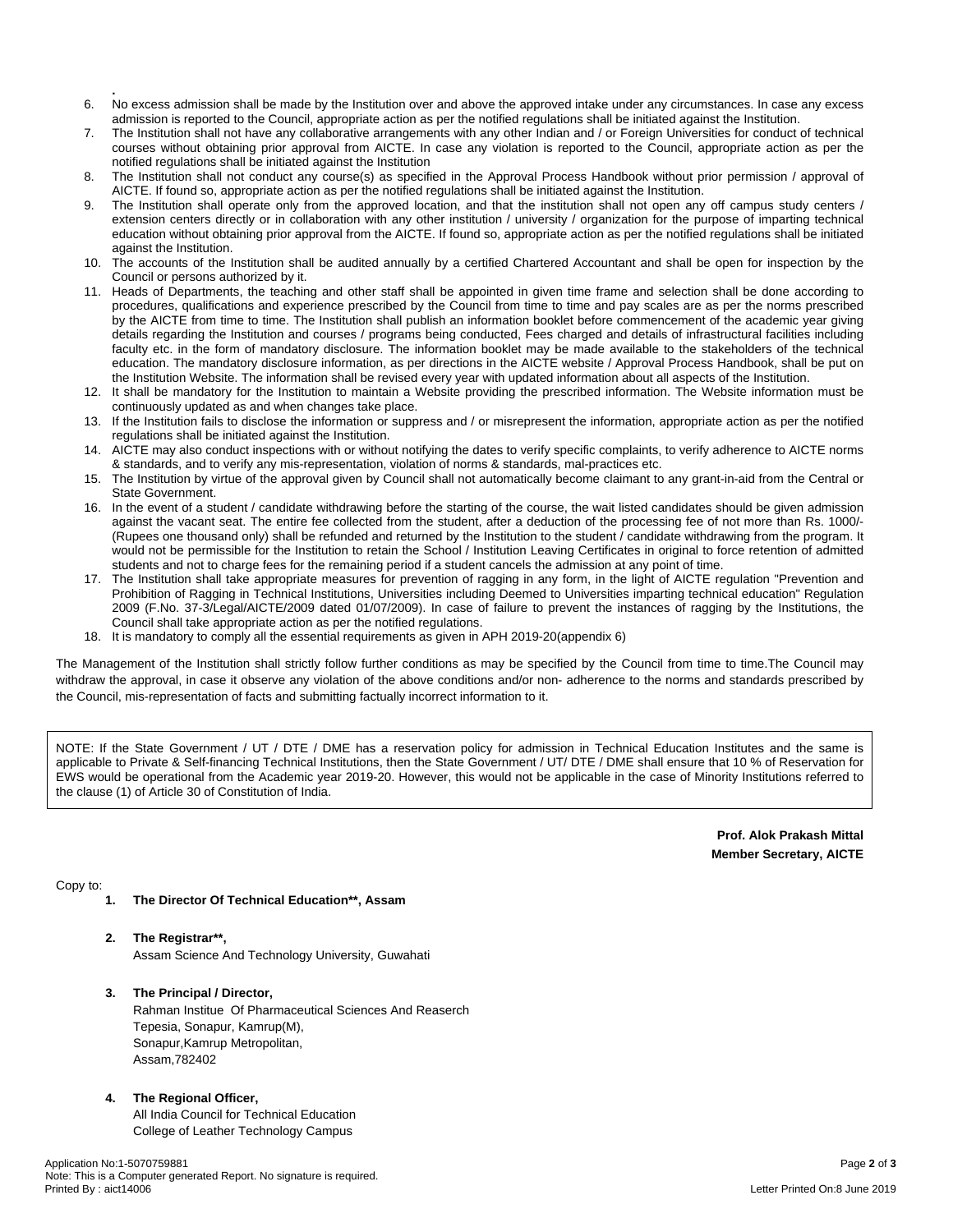- **.** 6. No excess admission shall be made by the Institution over and above the approved intake under any circumstances. In case any excess admission is reported to the Council, appropriate action as per the notified regulations shall be initiated against the Institution.
- 7. The Institution shall not have any collaborative arrangements with any other Indian and / or Foreign Universities for conduct of technical courses without obtaining prior approval from AICTE. In case any violation is reported to the Council, appropriate action as per the notified regulations shall be initiated against the Institution
- 8. The Institution shall not conduct any course(s) as specified in the Approval Process Handbook without prior permission / approval of AICTE. If found so, appropriate action as per the notified regulations shall be initiated against the Institution.
- The Institution shall operate only from the approved location, and that the institution shall not open any off campus study centers / extension centers directly or in collaboration with any other institution / university / organization for the purpose of imparting technical education without obtaining prior approval from the AICTE. If found so, appropriate action as per the notified regulations shall be initiated against the Institution.
- 10. The accounts of the Institution shall be audited annually by a certified Chartered Accountant and shall be open for inspection by the Council or persons authorized by it.
- 11. Heads of Departments, the teaching and other staff shall be appointed in given time frame and selection shall be done according to procedures, qualifications and experience prescribed by the Council from time to time and pay scales are as per the norms prescribed by the AICTE from time to time. The Institution shall publish an information booklet before commencement of the academic year giving details regarding the Institution and courses / programs being conducted, Fees charged and details of infrastructural facilities including faculty etc. in the form of mandatory disclosure. The information booklet may be made available to the stakeholders of the technical education. The mandatory disclosure information, as per directions in the AICTE website / Approval Process Handbook, shall be put on the Institution Website. The information shall be revised every year with updated information about all aspects of the Institution.
- 12. It shall be mandatory for the Institution to maintain a Website providing the prescribed information. The Website information must be continuously updated as and when changes take place.
- 13. If the Institution fails to disclose the information or suppress and / or misrepresent the information, appropriate action as per the notified regulations shall be initiated against the Institution.
- 14. AICTE may also conduct inspections with or without notifying the dates to verify specific complaints, to verify adherence to AICTE norms & standards, and to verify any mis-representation, violation of norms & standards, mal-practices etc.
- 15. The Institution by virtue of the approval given by Council shall not automatically become claimant to any grant-in-aid from the Central or State Government.
- 16. In the event of a student / candidate withdrawing before the starting of the course, the wait listed candidates should be given admission against the vacant seat. The entire fee collected from the student, after a deduction of the processing fee of not more than Rs. 1000/- (Rupees one thousand only) shall be refunded and returned by the Institution to the student / candidate withdrawing from the program. It would not be permissible for the Institution to retain the School / Institution Leaving Certificates in original to force retention of admitted students and not to charge fees for the remaining period if a student cancels the admission at any point of time.
- 17. The Institution shall take appropriate measures for prevention of ragging in any form, in the light of AICTE regulation "Prevention and Prohibition of Ragging in Technical Institutions, Universities including Deemed to Universities imparting technical education" Regulation 2009 (F.No. 37-3/Legal/AICTE/2009 dated 01/07/2009). In case of failure to prevent the instances of ragging by the Institutions, the Council shall take appropriate action as per the notified regulations.
- 18. It is mandatory to comply all the essential requirements as given in APH 2019-20(appendix 6)

The Management of the Institution shall strictly follow further conditions as may be specified by the Council from time to time.The Council may withdraw the approval, in case it observe any violation of the above conditions and/or non- adherence to the norms and standards prescribed by the Council, mis-representation of facts and submitting factually incorrect information to it.

NOTE: If the State Government / UT / DTE / DME has a reservation policy for admission in Technical Education Institutes and the same is applicable to Private & Self-financing Technical Institutions, then the State Government / UT/ DTE / DME shall ensure that 10 % of Reservation for EWS would be operational from the Academic year 2019-20. However, this would not be applicable in the case of Minority Institutions referred to the clause (1) of Article 30 of Constitution of India.

> **Prof. Alok Prakash Mittal Member Secretary, AICTE**

Copy to:

- **1. The Director Of Technical Education\*\*, Assam**
- **2. The Registrar\*\*,** Assam Science And Technology University, Guwahati
- **3. The Principal / Director,** Rahman Institue Of Pharmaceutical Sciences And Reaserch Tepesia, Sonapur, Kamrup(M), Sonapur,Kamrup Metropolitan, Assam,782402

## **4. The Regional Officer,**

All India Council for Technical Education College of Leather Technology Campus